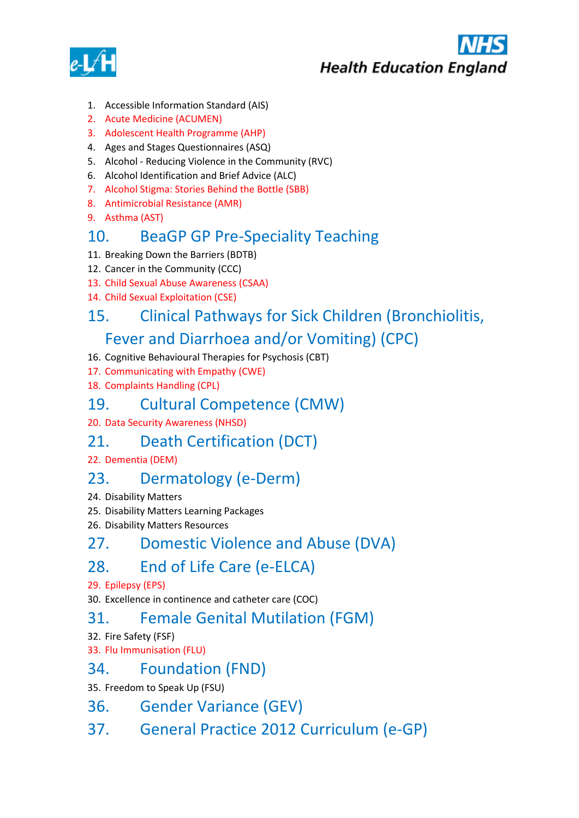

- **Health Education England**
- 1. Accessible Information Standard (AIS)
- 2. Acute Medicine (ACUMEN)
- 3. Adolescent Health Programme (AHP)
- 4. Ages and Stages Questionnaires (ASQ)
- 5. Alcohol Reducing Violence in the Community (RVC)
- 6. Alcohol Identification and Brief Advice (ALC)
- 7. Alcohol Stigma: Stories Behind the Bottle (SBB)
- 8. Antimicrobial Resistance (AMR)
- 9. Asthma (AST)

### 10. BeaGP GP Pre-Speciality Teaching

- 11. Breaking Down the Barriers (BDTB)
- 12. Cancer in the Community (CCC)
- 13. Child Sexual Abuse Awareness (CSAA)
- 14. Child Sexual Exploitation (CSE)

### 15. Clinical Pathways for Sick Children (Bronchiolitis,

### Fever and Diarrhoea and/or Vomiting) (CPC)

- 16. Cognitive Behavioural Therapies for Psychosis (CBT)
- 17. Communicating with Empathy (CWE)
- 18. Complaints Handling (CPL)

#### 19. Cultural Competence (CMW)

20. Data Security Awareness (NHSD)

#### 21. Death Certification (DCT)

22. Dementia (DEM)

#### 23. Dermatology (e-Derm)

- 24. Disability Matters
- 25. Disability Matters Learning Packages
- 26. Disability Matters Resources

#### 27. Domestic Violence and Abuse (DVA)

# 28. End of Life Care (e-ELCA)

#### 29. Epilepsy (EPS)

30. Excellence in continence and catheter care (COC)

#### 31. Female Genital Mutilation (FGM)

32. Fire Safety (FSF)

33. Flu Immunisation (FLU)

#### 34. Foundation (FND)

35. Freedom to Speak Up (FSU)

- 36. Gender Variance (GEV)
- 37. General Practice 2012 Curriculum (e-GP)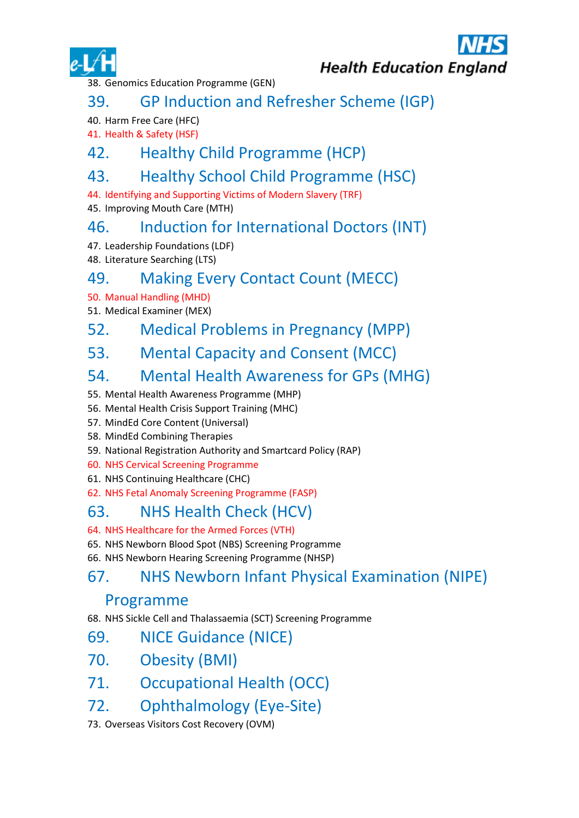**Health Education England** 

38. Genomics Education Programme (GEN)

## 39. GP Induction and Refresher Scheme (IGP)

40. Harm Free Care (HFC)

41. Health & Safety (HSF)

## 42. Healthy Child Programme (HCP)

## 43. Healthy School Child Programme (HSC)

44. Identifying and Supporting Victims of Modern Slavery (TRF)

45. Improving Mouth Care (MTH)

### 46. Induction for International Doctors (INT)

- 47. Leadership Foundations (LDF)
- 48. Literature Searching (LTS)

# 49. Making Every Contact Count (MECC)

#### 50. Manual Handling (MHD)

51. Medical Examiner (MEX)

### 52. Medical Problems in Pregnancy (MPP)

53. Mental Capacity and Consent (MCC)

## 54. Mental Health Awareness for GPs (MHG)

- 55. Mental Health Awareness Programme (MHP)
- 56. Mental Health Crisis Support Training (MHC)
- 57. MindEd Core Content (Universal)
- 58. MindEd Combining Therapies
- 59. National Registration Authority and Smartcard Policy (RAP)
- 60. NHS Cervical Screening Programme
- 61. NHS Continuing Healthcare (CHC)
- 62. NHS Fetal Anomaly Screening Programme (FASP)

# 63. NHS Health Check (HCV)

- 64. NHS Healthcare for the Armed Forces (VTH)
- 65. NHS Newborn Blood Spot (NBS) Screening Programme
- 66. NHS Newborn Hearing Screening Programme (NHSP)

## 67. NHS Newborn Infant Physical Examination (NIPE)

### Programme

- 68. NHS Sickle Cell and Thalassaemia (SCT) Screening Programme
- 69. NICE Guidance (NICE)
- 70. Obesity (BMI)
- 71. Occupational Health (OCC)
- 72. Ophthalmology (Eye-Site)
- 73. Overseas Visitors Cost Recovery (OVM)